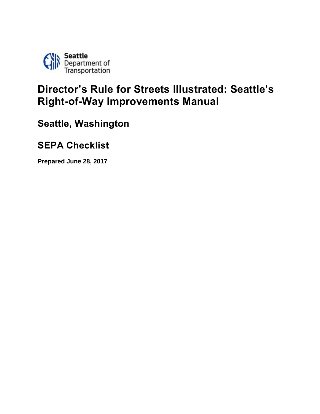

# **Director's Rule for Streets Illustrated: Seattle's Right-of-Way Improvements Manual**

**Seattle, Washington**

## **SEPA Checklist**

**Prepared June 28, 2017**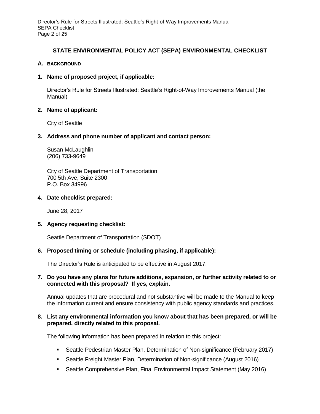Director's Rule for Streets Illustrated: Seattle's Right-of-Way Improvements Manual SEPA Checklist Page 2 of 25

## **STATE ENVIRONMENTAL POLICY ACT (SEPA) ENVIRONMENTAL CHECKLIST**

## **A. BACKGROUND**

## **1. Name of proposed project, if applicable:**

Director's Rule for Streets Illustrated: Seattle's Right-of-Way Improvements Manual (the Manual)

## **2. Name of applicant:**

City of Seattle

## **3. Address and phone number of applicant and contact person:**

Susan McLaughlin (206) 733-9649

City of Seattle Department of Transportation 700 5th Ave, Suite 2300 P.O. Box 34996

#### **4. Date checklist prepared:**

June 28, 2017

## **5. Agency requesting checklist:**

Seattle Department of Transportation (SDOT)

## **6. Proposed timing or schedule (including phasing, if applicable):**

The Director's Rule is anticipated to be effective in August 2017.

## **7. Do you have any plans for future additions, expansion, or further activity related to or connected with this proposal? If yes, explain.**

Annual updates that are procedural and not substantive will be made to the Manual to keep the information current and ensure consistency with public agency standards and practices.

## **8. List any environmental information you know about that has been prepared, or will be prepared, directly related to this proposal.**

The following information has been prepared in relation to this project:

- Seattle Pedestrian Master Plan, Determination of Non-significance (February 2017)
- **Seattle Freight Master Plan, Determination of Non-significance (August 2016)**
- Seattle Comprehensive Plan, Final Environmental Impact Statement (May 2016)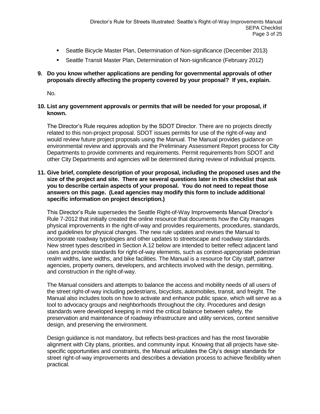- Seattle Bicycle Master Plan, Determination of Non-significance (December 2013)
- Seattle Transit Master Plan, Determination of Non-significance (February 2012)

## **9. Do you know whether applications are pending for governmental approvals of other proposals directly affecting the property covered by your proposal? If yes, explain.**

No.

## **10. List any government approvals or permits that will be needed for your proposal, if known.**

The Director's Rule requires adoption by the SDOT Director. There are no projects directly related to this non-project proposal. SDOT issues permits for use of the right-of-way and would review future project proposals using the Manual. The Manual provides guidance on environmental review and approvals and the Preliminary Assessment Report process for City Departments to provide comments and requirements. Permit requirements from SDOT and other City Departments and agencies will be determined during review of individual projects.

## **11. Give brief, complete description of your proposal, including the proposed uses and the size of the project and site. There are several questions later in this checklist that ask you to describe certain aspects of your proposal. You do not need to repeat those answers on this page. (Lead agencies may modify this form to include additional specific information on project description.)**

This Director's Rule supersedes the Seattle Right-of-Way Improvements Manual Director's Rule 7-2012 that initially created the online resource that documents how the City manages physical improvements in the right-of-way and provides requirements, procedures, standards, and guidelines for physical changes. The new rule updates and revises the Manual to incorporate roadway typologies and other updates to streetscape and roadway standards. New street types described in Section A.12 below are intended to better reflect adjacent land uses and provide standards for right-of-way elements, such as context-appropriate pedestrian realm widths, lane widths, and bike facilities. The Manual is a resource for City staff, partner agencies, property owners, developers, and architects involved with the design, permitting, and construction in the right-of-way.

The Manual considers and attempts to balance the access and mobility needs of all users of the street right-of-way including pedestrians, bicyclists, automobiles, transit, and freight. The Manual also includes tools on how to activate and enhance public space, which will serve as a tool to advocacy groups and neighborhoods throughout the city. Procedures and design standards were developed keeping in mind the critical balance between safety, the preservation and maintenance of roadway infrastructure and utility services, context sensitive design, and preserving the environment.

Design guidance is not mandatory, but reflects best-practices and has the most favorable alignment with City plans, priorities, and community input. Knowing that all projects have sitespecific opportunities and constraints, the Manual articulates the City's design standards for street right-of-way improvements and describes a deviation process to achieve flexibility when practical.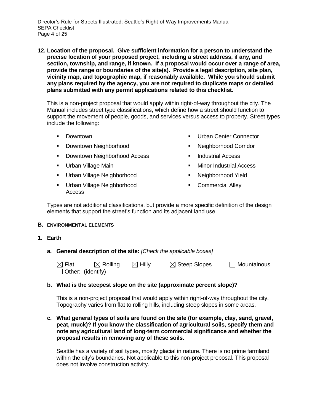Director's Rule for Streets Illustrated: Seattle's Right-of-Way Improvements Manual SEPA Checklist Page 4 of 25

**12. Location of the proposal. Give sufficient information for a person to understand the precise location of your proposed project, including a street address, if any, and section, township, and range, if known. If a proposal would occur over a range of area, provide the range or boundaries of the site(s). Provide a legal description, site plan, vicinity map, and topographic map, if reasonably available. While you should submit any plans required by the agency, you are not required to duplicate maps or detailed plans submitted with any permit applications related to this checklist.**

This is a non-project proposal that would apply within right-of-way throughout the city. The Manual includes street type classifications, which define how a street should function to support the movement of people, goods, and services versus access to property. Street types include the following:

- Downtown
- Downtown Neighborhood
- Downtown Neighborhood Access
- Urban Village Main
- Urban Village Neighborhood
- Urban Village Neighborhood Access
- Urban Center Connector
- Neighborhood Corridor
- Industrial Access
- Minor Industrial Access
- Neighborhood Yield
- **•** Commercial Alley

Types are not additional classifications, but provide a more specific definition of the design elements that support the street's function and its adjacent land use.

#### **B. ENVIRONMENTAL ELEMENTS**

- **1. Earth**
	- **a. General description of the site:** *[Check the applicable boxes]*

| $\boxtimes$ Flat         | $\boxtimes$ Rolling | $\boxtimes$ Hilly | $\boxtimes$ Steep Slopes | $\Box$ Mountainous |
|--------------------------|---------------------|-------------------|--------------------------|--------------------|
| $\Box$ Other: (identify) |                     |                   |                          |                    |

#### **b. What is the steepest slope on the site (approximate percent slope)?**

This is a non-project proposal that would apply within right-of-way throughout the city. Topography varies from flat to rolling hills, including steep slopes in some areas.

### **c. What general types of soils are found on the site (for example, clay, sand, gravel, peat, muck)? If you know the classification of agricultural soils, specify them and note any agricultural land of long-term commercial significance and whether the proposal results in removing any of these soils.**

Seattle has a variety of soil types, mostly glacial in nature. There is no prime farmland within the city's boundaries. Not applicable to this non-project proposal. This proposal does not involve construction activity.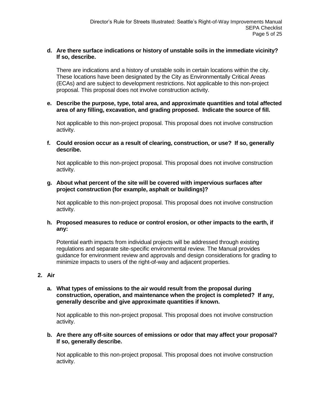## **d. Are there surface indications or history of unstable soils in the immediate vicinity? If so, describe.**

There are indications and a history of unstable soils in certain locations within the city. These locations have been designated by the City as Environmentally Critical Areas (ECAs) and are subject to development restrictions. Not applicable to this non-project proposal. This proposal does not involve construction activity.

### **e. Describe the purpose, type, total area, and approximate quantities and total affected area of any filling, excavation, and grading proposed. Indicate the source of fill.**

Not applicable to this non-project proposal. This proposal does not involve construction activity.

**f. Could erosion occur as a result of clearing, construction, or use? If so, generally describe.**

Not applicable to this non-project proposal. This proposal does not involve construction activity.

**g. About what percent of the site will be covered with impervious surfaces after project construction (for example, asphalt or buildings)?**

Not applicable to this non-project proposal. This proposal does not involve construction activity.

**h. Proposed measures to reduce or control erosion, or other impacts to the earth, if any:**

Potential earth impacts from individual projects will be addressed through existing regulations and separate site-specific environmental review. The Manual provides guidance for environment review and approvals and design considerations for grading to minimize impacts to users of the right-of-way and adjacent properties.

#### **2. Air**

**a. What types of emissions to the air would result from the proposal during construction, operation, and maintenance when the project is completed? If any, generally describe and give approximate quantities if known.** 

Not applicable to this non-project proposal. This proposal does not involve construction activity.

## **b. Are there any off-site sources of emissions or odor that may affect your proposal? If so, generally describe.**

Not applicable to this non-project proposal. This proposal does not involve construction activity.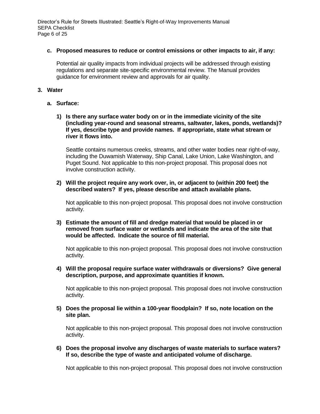Director's Rule for Streets Illustrated: Seattle's Right-of-Way Improvements Manual SEPA Checklist Page 6 of 25

### **c. Proposed measures to reduce or control emissions or other impacts to air, if any:**

Potential air quality impacts from individual projects will be addressed through existing regulations and separate site-specific environmental review. The Manual provides guidance for environment review and approvals for air quality.

### **3. Water**

- **a. Surface:**
	- **1) Is there any surface water body on or in the immediate vicinity of the site (including year-round and seasonal streams, saltwater, lakes, ponds, wetlands)? If yes, describe type and provide names. If appropriate, state what stream or river it flows into.**

Seattle contains numerous creeks, streams, and other water bodies near right-of-way, including the Duwamish Waterway, Ship Canal, Lake Union, Lake Washington, and Puget Sound. Not applicable to this non-project proposal. This proposal does not involve construction activity.

## **2) Will the project require any work over, in, or adjacent to (within 200 feet) the described waters? If yes, please describe and attach available plans.**

Not applicable to this non-project proposal. This proposal does not involve construction activity.

**3) Estimate the amount of fill and dredge material that would be placed in or removed from surface water or wetlands and indicate the area of the site that would be affected. Indicate the source of fill material.**

Not applicable to this non-project proposal. This proposal does not involve construction activity.

**4) Will the proposal require surface water withdrawals or diversions? Give general description, purpose, and approximate quantities if known.**

Not applicable to this non-project proposal. This proposal does not involve construction activity.

**5) Does the proposal lie within a 100-year floodplain? If so, note location on the site plan.**

Not applicable to this non-project proposal. This proposal does not involve construction activity.

**6) Does the proposal involve any discharges of waste materials to surface waters? If so, describe the type of waste and anticipated volume of discharge.**

Not applicable to this non-project proposal. This proposal does not involve construction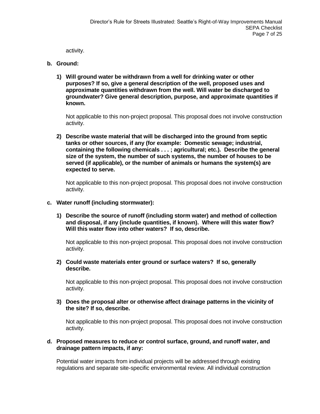activity.

- **b. Ground:**
	- **1) Will ground water be withdrawn from a well for drinking water or other purposes? If so, give a general description of the well, proposed uses and approximate quantities withdrawn from the well. Will water be discharged to groundwater? Give general description, purpose, and approximate quantities if known.**

Not applicable to this non-project proposal. This proposal does not involve construction activity.

**2) Describe waste material that will be discharged into the ground from septic tanks or other sources, if any (for example: Domestic sewage; industrial, containing the following chemicals . . . ; agricultural; etc.). Describe the general size of the system, the number of such systems, the number of houses to be served (if applicable), or the number of animals or humans the system(s) are expected to serve.**

Not applicable to this non-project proposal. This proposal does not involve construction activity.

- **c. Water runoff (including stormwater):**
	- **1) Describe the source of runoff (including storm water) and method of collection and disposal, if any (include quantities, if known). Where will this water flow? Will this water flow into other waters? If so, describe.**

Not applicable to this non-project proposal. This proposal does not involve construction activity.

**2) Could waste materials enter ground or surface waters? If so, generally describe.**

Not applicable to this non-project proposal. This proposal does not involve construction activity.

**3) Does the proposal alter or otherwise affect drainage patterns in the vicinity of the site? If so, describe.**

Not applicable to this non-project proposal. This proposal does not involve construction activity.

## **d. Proposed measures to reduce or control surface, ground, and runoff water, and drainage pattern impacts, if any:**

Potential water impacts from individual projects will be addressed through existing regulations and separate site-specific environmental review. All individual construction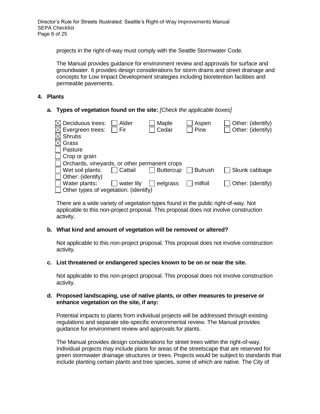Director's Rule for Streets Illustrated: Seattle's Right-of-Way Improvements Manual SEPA Checklist Page 8 of 25

projects in the right-of-way must comply with the Seattle Stormwater Code.

The Manual provides guidance for environment review and approvals for surface and groundwater. It provides design considerations for storm drains and street drainage and concepts for Low Impact Development strategies including bioretention facilities and permeable pavements.

#### **4. Plants**

**a. Types of vegetation found on the site:** *[Check the applicable boxes]*

| $\boxtimes$ Deciduous trees:                  | Alder      | Maple            | Aspen          | Other: (identify) |
|-----------------------------------------------|------------|------------------|----------------|-------------------|
| $\boxtimes$ Evergreen trees:                  | Fir        | Cedar            | Pine           | Other: (identify) |
| $\boxtimes$ Shrubs                            |            |                  |                |                   |
| $\boxtimes$ Grass                             |            |                  |                |                   |
| Pasture                                       |            |                  |                |                   |
| $\Box$ Crop or grain                          |            |                  |                |                   |
| Orchards, vineyards, or other permanent crops |            |                  |                |                   |
| Wet soil plants:                              | Cattail    | <b>Buttercup</b> | <b>Bulrush</b> | Skunk cabbage     |
| Other: (identify)                             |            |                  |                |                   |
| Water plants:                                 | water lily | eelgrass         | milfoil        | Other: (identify) |
| Other types of vegetation: (identify)         |            |                  |                |                   |

There are a wide variety of vegetation types found in the public right-of-way. Not applicable to this non-project proposal. This proposal does not involve construction activity.

## **b. What kind and amount of vegetation will be removed or altered?**

Not applicable to this non-project proposal. This proposal does not involve construction activity.

#### **c. List threatened or endangered species known to be on or near the site.**

Not applicable to this non-project proposal. This proposal does not involve construction activity.

#### **d. Proposed landscaping, use of native plants, or other measures to preserve or enhance vegetation on the site, if any:**

Potential impacts to plants from individual projects will be addressed through existing regulations and separate site-specific environmental review. The Manual provides guidance for environment review and approvals for plants.

The Manual provides design considerations for street trees within the right-of-way. Individual projects may include plans for areas of the streetscape that are reserved for green stormwater drainage structures or trees. Projects would be subject to standards that include planting certain plants and tree species, some of which are native. The City of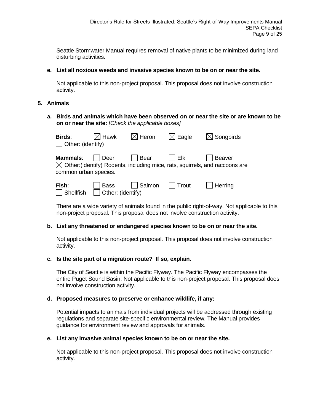Seattle Stormwater Manual requires removal of native plants to be minimized during land disturbing activities.

## **e. List all noxious weeds and invasive species known to be on or near the site.**

Not applicable to this non-project proposal. This proposal does not involve construction activity.

## **5. Animals**

**a. Birds and animals which have been observed on or near the site or are known to be on or near the site:** *[Check the applicable boxes]*

| Birds:<br>$\Box$ Other: (identify)       | $\boxtimes$ Hawk                 | $\boxtimes$ Heron | $\boxtimes$ Eagle | $\boxtimes$ Songbirds                                                                              |
|------------------------------------------|----------------------------------|-------------------|-------------------|----------------------------------------------------------------------------------------------------|
| <b>Mammals:</b><br>common urban species. | l Deer                           | Bear              | I Elk             | Beaver<br>$\boxtimes$ Other: (identify) Rodents, including mice, rats, squirrels, and raccoons are |
| Fish:<br>Shellfish                       | <b>Bass</b><br>Other: (identify) | Salmon            | Trout             | Herrinq                                                                                            |

There are a wide variety of animals found in the public right-of-way. Not applicable to this non-project proposal. This proposal does not involve construction activity.

## **b. List any threatened or endangered species known to be on or near the site.**

Not applicable to this non-project proposal. This proposal does not involve construction activity.

## **c. Is the site part of a migration route? If so, explain.**

The City of Seattle is within the Pacific Flyway. The Pacific Flyway encompasses the entire Puget Sound Basin. Not applicable to this non-project proposal. This proposal does not involve construction activity.

## **d. Proposed measures to preserve or enhance wildlife, if any:**

Potential impacts to animals from individual projects will be addressed through existing regulations and separate site-specific environmental review. The Manual provides guidance for environment review and approvals for animals.

## **e. List any invasive animal species known to be on or near the site.**

Not applicable to this non-project proposal. This proposal does not involve construction activity.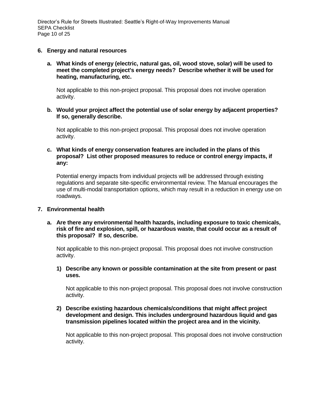Director's Rule for Streets Illustrated: Seattle's Right-of-Way Improvements Manual SEPA Checklist Page 10 of 25

#### **6. Energy and natural resources**

**a. What kinds of energy (electric, natural gas, oil, wood stove, solar) will be used to meet the completed project's energy needs? Describe whether it will be used for heating, manufacturing, etc.**

Not applicable to this non-project proposal. This proposal does not involve operation activity.

**b. Would your project affect the potential use of solar energy by adjacent properties? If so, generally describe.**

Not applicable to this non-project proposal. This proposal does not involve operation activity.

**c. What kinds of energy conservation features are included in the plans of this proposal? List other proposed measures to reduce or control energy impacts, if any:**

Potential energy impacts from individual projects will be addressed through existing regulations and separate site-specific environmental review. The Manual encourages the use of multi-modal transportation options, which may result in a reduction in energy use on roadways.

#### **7. Environmental health**

**a. Are there any environmental health hazards, including exposure to toxic chemicals, risk of fire and explosion, spill, or hazardous waste, that could occur as a result of this proposal? If so, describe.**

Not applicable to this non-project proposal. This proposal does not involve construction activity.

**1) Describe any known or possible contamination at the site from present or past uses.**

Not applicable to this non-project proposal. This proposal does not involve construction activity.

**2) Describe existing hazardous chemicals/conditions that might affect project development and design. This includes underground hazardous liquid and gas transmission pipelines located within the project area and in the vicinity.**

Not applicable to this non-project proposal. This proposal does not involve construction activity.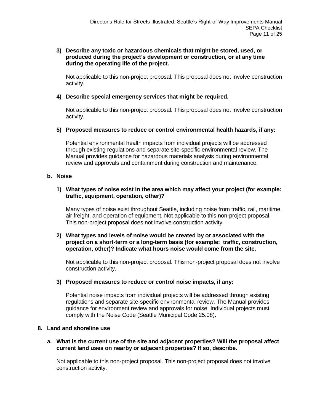## **3) Describe any toxic or hazardous chemicals that might be stored, used, or produced during the project's development or construction, or at any time during the operating life of the project.**

Not applicable to this non-project proposal. This proposal does not involve construction activity.

## **4) Describe special emergency services that might be required.**

Not applicable to this non-project proposal. This proposal does not involve construction activity.

## **5) Proposed measures to reduce or control environmental health hazards, if any:**

Potential environmental health impacts from individual projects will be addressed through existing regulations and separate site-specific environmental review. The Manual provides guidance for hazardous materials analysis during environmental review and approvals and containment during construction and maintenance.

### **b. Noise**

## **1) What types of noise exist in the area which may affect your project (for example: traffic, equipment, operation, other)?**

Many types of noise exist throughout Seattle, including noise from traffic, rail, maritime, air freight, and operation of equipment. Not applicable to this non-project proposal. This non-project proposal does not involve construction activity.

### **2) What types and levels of noise would be created by or associated with the project on a short-term or a long-term basis (for example: traffic, construction, operation, other)? Indicate what hours noise would come from the site.**

Not applicable to this non-project proposal. This non-project proposal does not involve construction activity.

#### **3) Proposed measures to reduce or control noise impacts, if any:**

Potential noise impacts from individual projects will be addressed through existing regulations and separate site-specific environmental review. The Manual provides guidance for environment review and approvals for noise. Individual projects must comply with the Noise Code (Seattle Municipal Code 25.08).

#### **8. Land and shoreline use**

#### **a. What is the current use of the site and adjacent properties? Will the proposal affect current land uses on nearby or adjacent properties? If so, describe.**

Not applicable to this non-project proposal. This non-project proposal does not involve construction activity.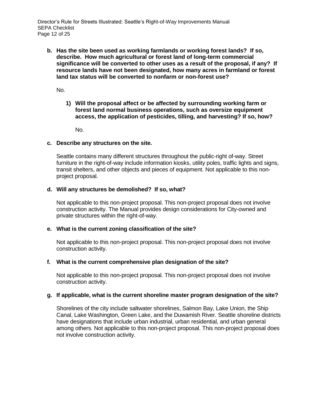**b. Has the site been used as working farmlands or working forest lands? If so, describe. How much agricultural or forest land of long-term commercial significance will be converted to other uses as a result of the proposal, if any? If resource lands have not been designated, how many acres in farmland or forest land tax status will be converted to nonfarm or non-forest use?**

No.

**1) Will the proposal affect or be affected by surrounding working farm or forest land normal business operations, such as oversize equipment access, the application of pesticides, tilling, and harvesting? If so, how?**

No.

## **c. Describe any structures on the site.**

Seattle contains many different structures throughout the public-right of-way. Street furniture in the right-of-way include information kiosks, utility poles, traffic lights and signs, transit shelters, and other objects and pieces of equipment. Not applicable to this nonproject proposal.

## **d. Will any structures be demolished? If so, what?**

Not applicable to this non-project proposal. This non-project proposal does not involve construction activity. The Manual provides design considerations for City-owned and private structures within the right-of-way.

#### **e. What is the current zoning classification of the site?**

Not applicable to this non-project proposal. This non-project proposal does not involve construction activity.

#### **f. What is the current comprehensive plan designation of the site?**

Not applicable to this non-project proposal. This non-project proposal does not involve construction activity.

#### **g. If applicable, what is the current shoreline master program designation of the site?**

Shorelines of the city include saltwater shorelines, Salmon Bay, Lake Union, the Ship Canal, Lake Washington, Green Lake, and the Duwamish River. Seattle shoreline districts have designations that include urban industrial, urban residential, and urban general among others. Not applicable to this non-project proposal. This non-project proposal does not involve construction activity.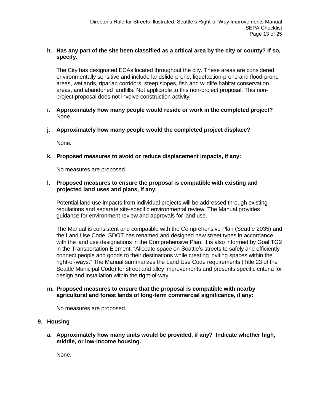## **h. Has any part of the site been classified as a critical area by the city or county? If so, specify.**

The City has designated ECAs located throughout the city. These areas are considered environmentally sensitive and include landslide-prone, liquefaction-prone and flood-prone areas, wetlands, riparian corridors, steep slopes, fish and wildlife habitat conservation areas, and abandoned landfills. Not applicable to this non-project proposal. This nonproject proposal does not involve construction activity.

- **i. Approximately how many people would reside or work in the completed project?** None.
- **j. Approximately how many people would the completed project displace?**

None.

**k. Proposed measures to avoid or reduce displacement impacts, if any:**

No measures are proposed.

## **l. Proposed measures to ensure the proposal is compatible with existing and projected land uses and plans, if any:**

Potential land use impacts from individual projects will be addressed through existing regulations and separate site-specific environmental review. The Manual provides guidance for environment review and approvals for land use.

The Manual is consistent and compatible with the Comprehensive Plan (Seattle 2035) and the Land Use Code. SDOT has renamed and designed new street types in accordance with the land use designations in the Comprehensive Plan. It is also informed by Goal TG2 in the Transportation Element, "Allocate space on Seattle's streets to safely and efficiently connect people and goods to their destinations while creating inviting spaces within the right‐of‐ways." The Manual summarizes the Land Use Code requirements (Title 23 of the Seattle Municipal Code) for street and alley improvements and presents specific criteria for design and installation within the right-of-way.

## **m. Proposed measures to ensure that the proposal is compatible with nearby agricultural and forest lands of long-term commercial significance, if any:**

No measures are proposed.

## **9. Housing**

**a. Approximately how many units would be provided, if any? Indicate whether high, middle, or low-income housing.**

None.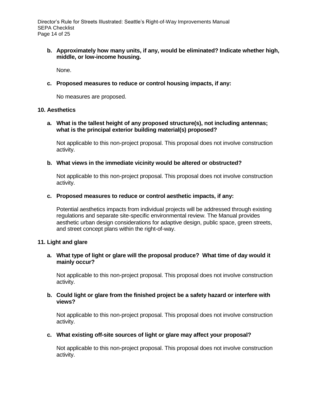**b. Approximately how many units, if any, would be eliminated? Indicate whether high, middle, or low-income housing.**

None.

**c. Proposed measures to reduce or control housing impacts, if any:**

No measures are proposed.

#### **10. Aesthetics**

## **a. What is the tallest height of any proposed structure(s), not including antennas; what is the principal exterior building material(s) proposed?**

Not applicable to this non-project proposal. This proposal does not involve construction activity.

## **b. What views in the immediate vicinity would be altered or obstructed?**

Not applicable to this non-project proposal. This proposal does not involve construction activity.

## **c. Proposed measures to reduce or control aesthetic impacts, if any:**

Potential aesthetics impacts from individual projects will be addressed through existing regulations and separate site-specific environmental review. The Manual provides aesthetic urban design considerations for adaptive design, public space, green streets, and street concept plans within the right-of-way.

## **11. Light and glare**

## **a. What type of light or glare will the proposal produce? What time of day would it mainly occur?**

Not applicable to this non-project proposal. This proposal does not involve construction activity.

## **b. Could light or glare from the finished project be a safety hazard or interfere with views?**

Not applicable to this non-project proposal. This proposal does not involve construction activity.

## **c. What existing off-site sources of light or glare may affect your proposal?**

Not applicable to this non-project proposal. This proposal does not involve construction activity.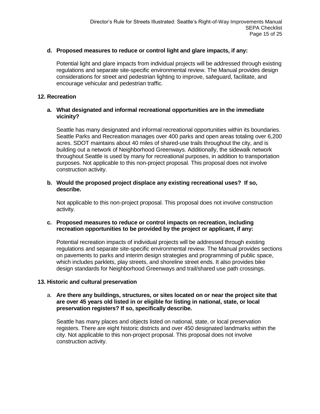## **d. Proposed measures to reduce or control light and glare impacts, if any:**

Potential light and glare impacts from individual projects will be addressed through existing regulations and separate site-specific environmental review. The Manual provides design considerations for street and pedestrian lighting to improve, safeguard, facilitate, and encourage vehicular and pedestrian traffic.

### **12. Recreation**

## **a. What designated and informal recreational opportunities are in the immediate vicinity?**

Seattle has many designated and informal recreational opportunities within its boundaries. Seattle Parks and Recreation manages over 400 parks and open areas totaling over 6,200 acres. SDOT maintains about 40 miles of shared-use trails throughout the city, and is building out a network of Neighborhood Greenways. Additionally, the sidewalk network throughout Seattle is used by many for recreational purposes, in addition to transportation purposes. Not applicable to this non-project proposal. This proposal does not involve construction activity.

## **b. Would the proposed project displace any existing recreational uses? If so, describe.**

Not applicable to this non-project proposal. This proposal does not involve construction activity.

## **c. Proposed measures to reduce or control impacts on recreation, including recreation opportunities to be provided by the project or applicant, if any:**

Potential recreation impacts of individual projects will be addressed through existing regulations and separate site-specific environmental review. The Manual provides sections on pavements to parks and interim design strategies and programming of public space, which includes parklets, play streets, and shoreline street ends. It also provides bike design standards for Neighborhood Greenways and trail/shared use path crossings.

#### **13. Historic and cultural preservation**

### a. **Are there any buildings, structures, or sites located on or near the project site that are over 45 years old listed in or eligible for listing in national, state, or local preservation registers? If so, specifically describe.**

Seattle has many places and objects listed on national, state, or local preservation registers. There are eight historic districts and over 450 designated landmarks within the city. Not applicable to this non-project proposal. This proposal does not involve construction activity.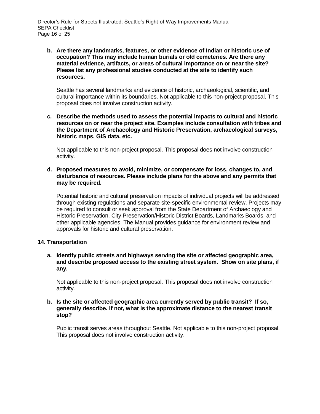**b. Are there any landmarks, features, or other evidence of Indian or historic use of occupation? This may include human burials or old cemeteries. Are there any material evidence, artifacts, or areas of cultural importance on or near the site? Please list any professional studies conducted at the site to identify such resources.**

Seattle has several landmarks and evidence of historic, archaeological, scientific, and cultural importance within its boundaries. Not applicable to this non-project proposal. This proposal does not involve construction activity.

**c. Describe the methods used to assess the potential impacts to cultural and historic resources on or near the project site. Examples include consultation with tribes and the Department of Archaeology and Historic Preservation, archaeological surveys, historic maps, GIS data, etc.**

Not applicable to this non-project proposal. This proposal does not involve construction activity.

**d. Proposed measures to avoid, minimize, or compensate for loss, changes to, and disturbance of resources. Please include plans for the above and any permits that may be required.**

Potential historic and cultural preservation impacts of individual projects will be addressed through existing regulations and separate site-specific environmental review. Projects may be required to consult or seek approval from the State Department of Archaeology and Historic Preservation, City Preservation/Historic District Boards, Landmarks Boards, and other applicable agencies. The Manual provides guidance for environment review and approvals for historic and cultural preservation.

#### **14. Transportation**

**a. Identify public streets and highways serving the site or affected geographic area, and describe proposed access to the existing street system. Show on site plans, if any.**

Not applicable to this non-project proposal. This proposal does not involve construction activity.

**b. Is the site or affected geographic area currently served by public transit? If so, generally describe. If not, what is the approximate distance to the nearest transit stop?**

Public transit serves areas throughout Seattle. Not applicable to this non-project proposal. This proposal does not involve construction activity.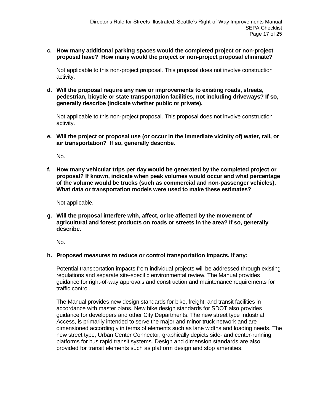## **c. How many additional parking spaces would the completed project or non-project proposal have? How many would the project or non-project proposal eliminate?**

Not applicable to this non-project proposal. This proposal does not involve construction activity.

**d. Will the proposal require any new or improvements to existing roads, streets, pedestrian, bicycle or state transportation facilities, not including driveways? If so, generally describe (indicate whether public or private).** 

Not applicable to this non-project proposal. This proposal does not involve construction activity.

**e. Will the project or proposal use (or occur in the immediate vicinity of) water, rail, or air transportation? If so, generally describe.**

No.

**f. How many vehicular trips per day would be generated by the completed project or proposal? If known, indicate when peak volumes would occur and what percentage of the volume would be trucks (such as commercial and non-passenger vehicles). What data or transportation models were used to make these estimates?**

Not applicable.

**g. Will the proposal interfere with, affect, or be affected by the movement of agricultural and forest products on roads or streets in the area? If so, generally describe.**

No.

## **h. Proposed measures to reduce or control transportation impacts, if any:**

Potential transportation impacts from individual projects will be addressed through existing regulations and separate site-specific environmental review. The Manual provides guidance for right-of-way approvals and construction and maintenance requirements for traffic control.

The Manual provides new design standards for bike, freight, and transit facilities in accordance with master plans. New bike design standards for SDOT also provides guidance for developers and other City Departments. The new street type Industrial Access, is primarily intended to serve the major and minor truck network and are dimensioned accordingly in terms of elements such as lane widths and loading needs. The new street type, Urban Center Connector, graphically depicts side- and center-running platforms for bus rapid transit systems. Design and dimension standards are also provided for transit elements such as platform design and stop amenities.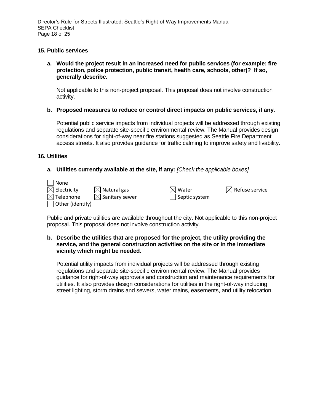Director's Rule for Streets Illustrated: Seattle's Right-of-Way Improvements Manual SEPA Checklist Page 18 of 25

## **15. Public services**

**a. Would the project result in an increased need for public services (for example: fire protection, police protection, public transit, health care, schools, other)? If so, generally describe.**

Not applicable to this non-project proposal. This proposal does not involve construction activity.

**b. Proposed measures to reduce or control direct impacts on public services, if any.**

Potential public service impacts from individual projects will be addressed through existing regulations and separate site-specific environmental review. The Manual provides design considerations for right-of-way near fire stations suggested as Seattle Fire Department access streets. It also provides guidance for traffic calming to improve safety and livability.

#### **16. Utilities**

## **a. Utilities currently available at the site, if any:** *[Check the applicable boxes]*

| None                       |                            |                       |                            |
|----------------------------|----------------------------|-----------------------|----------------------------|
| $\boxtimes$ Electricity    | $\boxtimes$ Natural gas    | $\boxtimes$ Water     | $\boxtimes$ Refuse service |
| $\boxtimes$ Telephone      | $\boxtimes$ Sanitary sewer | $\vert$ Septic system |                            |
| $\bigcup$ Other (identify) |                            |                       |                            |

Public and private utilities are available throughout the city. Not applicable to this non-project proposal. This proposal does not involve construction activity.

### **b. Describe the utilities that are proposed for the project, the utility providing the service, and the general construction activities on the site or in the immediate vicinity which might be needed.**

Potential utility impacts from individual projects will be addressed through existing regulations and separate site-specific environmental review. The Manual provides guidance for right-of-way approvals and construction and maintenance requirements for utilities. It also provides design considerations for utilities in the right-of-way including street lighting, storm drains and sewers, water mains, easements, and utility relocation.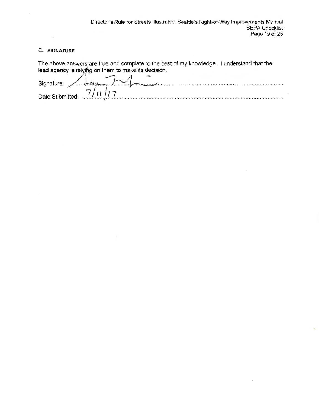#### **C. SIGNATURE**

The above answers are true and complete to the best of my knowledge. I understand that the lead agency is relying on them to make its decision.<br>Signature:<br> $\frac{7}{1!}$ <br>Date Submitted:<br> $\frac{7}{1!}$ Date Submitted: ... 7./.t.!.//..7. .................................................................................................. ....... .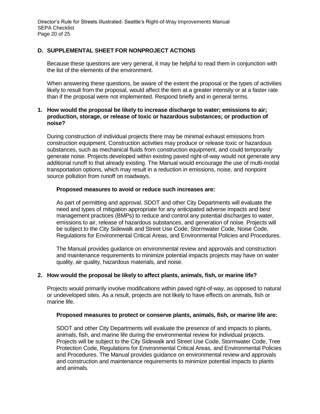## **D. SUPPLEMENTAL SHEET FOR NONPROJECT ACTIONS**

Because these questions are very general, it may be helpful to read them in conjunction with the list of the elements of the environment.

When answering these questions, be aware of the extent the proposal or the types of activities likely to result from the proposal, would affect the item at a greater intensity or at a faster rate than if the proposal were not implemented. Respond briefly and in general terms.

#### **1. How would the proposal be likely to increase discharge to water; emissions to air; production, storage, or release of toxic or hazardous substances; or production of noise?**

During construction of individual projects there may be minimal exhaust emissions from construction equipment. Construction activities may produce or release toxic or hazardous substances, such as mechanical fluids from construction equipment, and could temporarily generate noise. Projects developed within existing paved right-of-way would not generate any additional runoff to that already existing. The Manual would encourage the use of multi-modal transportation options, which may result in a reduction in emissions, noise, and nonpoint source pollution from runoff on roadways.

#### **Proposed measures to avoid or reduce such increases are:**

As part of permitting and approval, SDOT and other City Departments will evaluate the need and types of mitigation appropriate for any anticipated adverse impacts and best management practices (BMPs) to reduce and control any potential discharges to water, emissions to air, release of hazardous substances, and generation of noise. Projects will be subject to the City Sidewalk and Street Use Code, Stormwater Code, Noise Code, Regulations for Environmental Critical Areas, and Environmental Policies and Procedures.

The Manual provides guidance on environmental review and approvals and construction and maintenance requirements to minimize potential impacts projects may have on water quality, air quality, hazardous materials, and noise.

#### **2. How would the proposal be likely to affect plants, animals, fish, or marine life?**

Projects would primarily involve modifications within paved right-of-way, as opposed to natural or undeveloped sites. As a result, projects are not likely to have effects on animals, fish or marine life.

#### **Proposed measures to protect or conserve plants, animals, fish, or marine life are:**

SDOT and other City Departments will evaluate the presence of and impacts to plants, animals, fish, and marine life during the environmental review for individual projects. Projects will be subject to the City Sidewalk and Street Use Code, Stormwater Code, Tree Protection Code, Regulations for Environmental Critical Areas, and Environmental Policies and Procedures. The Manual provides guidance on environmental review and approvals and construction and maintenance requirements to minimize potential impacts to plants and animals.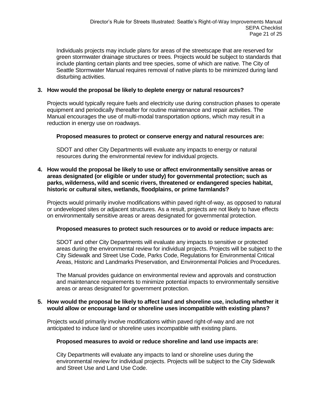Individuals projects may include plans for areas of the streetscape that are reserved for green stormwater drainage structures or trees. Projects would be subject to standards that include planting certain plants and tree species, some of which are native. The City of Seattle Stormwater Manual requires removal of native plants to be minimized during land disturbing activities.

## **3. How would the proposal be likely to deplete energy or natural resources?**

Projects would typically require fuels and electricity use during construction phases to operate equipment and periodically thereafter for routine maintenance and repair activities. The Manual encourages the use of multi-modal transportation options, which may result in a reduction in energy use on roadways.

## **Proposed measures to protect or conserve energy and natural resources are:**

SDOT and other City Departments will evaluate any impacts to energy or natural resources during the environmental review for individual projects.

## **4. How would the proposal be likely to use or affect environmentally sensitive areas or areas designated (or eligible or under study) for governmental protection; such as parks, wilderness, wild and scenic rivers, threatened or endangered species habitat, historic or cultural sites, wetlands, floodplains, or prime farmlands?**

Projects would primarily involve modifications within paved right-of-way, as opposed to natural or undeveloped sites or adjacent structures. As a result, projects are not likely to have effects on environmentally sensitive areas or areas designated for governmental protection.

## **Proposed measures to protect such resources or to avoid or reduce impacts are:**

SDOT and other City Departments will evaluate any impacts to sensitive or protected areas during the environmental review for individual projects. Projects will be subject to the City Sidewalk and Street Use Code, Parks Code, Regulations for Environmental Critical Areas, Historic and Landmarks Preservation, and Environmental Policies and Procedures.

The Manual provides guidance on environmental review and approvals and construction and maintenance requirements to minimize potential impacts to environmentally sensitive areas or areas designated for government protection.

## **5. How would the proposal be likely to affect land and shoreline use, including whether it would allow or encourage land or shoreline uses incompatible with existing plans?**

Projects would primarily involve modifications within paved right-of-way and are not anticipated to induce land or shoreline uses incompatible with existing plans.

## **Proposed measures to avoid or reduce shoreline and land use impacts are:**

City Departments will evaluate any impacts to land or shoreline uses during the environmental review for individual projects. Projects will be subject to the City Sidewalk and Street Use and Land Use Code.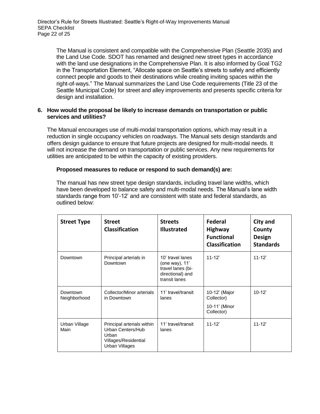The Manual is consistent and compatible with the Comprehensive Plan (Seattle 2035) and the Land Use Code. SDOT has renamed and designed new street types in accordance with the land use designations in the Comprehensive Plan. It is also informed by Goal TG2 in the Transportation Element, "Allocate space on Seattle's streets to safely and efficiently connect people and goods to their destinations while creating inviting spaces within the right‐of‐ways." The Manual summarizes the Land Use Code requirements (Title 23 of the Seattle Municipal Code) for street and alley improvements and presents specific criteria for design and installation.

## **6. How would the proposal be likely to increase demands on transportation or public services and utilities?**

The Manual encourages use of multi-modal transportation options, which may result in a reduction in single occupancy vehicles on roadways. The Manual sets design standards and offers design guidance to ensure that future projects are designed for multi-modal needs. It will not increase the demand on transportation or public services. Any new requirements for utilities are anticipated to be within the capacity of existing providers.

## **Proposed measures to reduce or respond to such demand(s) are:**

The manual has new street type design standards, including travel lane widths, which have been developed to balance safety and multi-modal needs. The Manual's lane width standards range from 10'-12' and are consistent with state and federal standards, as outlined below:

| <b>Street Type</b>       | <b>Street</b><br><b>Classification</b>                                                             | <b>Streets</b><br><b>Illustrated</b>                                                         | Federal<br><b>Highway</b><br><b>Functional</b><br><b>Classification</b> | City and<br>County<br>Design<br><b>Standards</b> |
|--------------------------|----------------------------------------------------------------------------------------------------|----------------------------------------------------------------------------------------------|-------------------------------------------------------------------------|--------------------------------------------------|
| Downtown                 | Principal arterials in<br>Downtown                                                                 | 10' travel lanes<br>(one way), 11'<br>travel lanes (bi-<br>directional) and<br>transit lanes | $11 - 12'$                                                              | $11 - 12'$                                       |
| Downtown<br>Neighborhood | Collector/Minor arterials<br>in Downtown                                                           | 11' travel/transit<br>lanes                                                                  | 10-12' (Major<br>Collector)<br>10-11' (Minor<br>Collector)              | $10 - 12'$                                       |
| Urban Village<br>Main    | Principal arterials within<br>Urban Centers/Hub<br>Urban<br>Villages/Residential<br>Urban Villages | 11' travel/transit<br>lanes                                                                  | $11 - 12'$                                                              | $11 - 12'$                                       |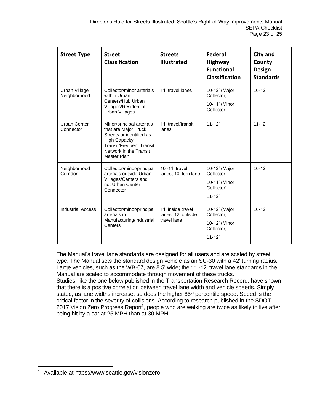| <b>Street Type</b>            | <b>Street</b><br>Classification                                                                                                                                                          | <b>Streets</b><br><b>Illustrated</b>                   | <b>Federal</b><br><b>Highway</b><br><b>Functional</b><br><b>Classification</b> | <b>City and</b><br>County<br><b>Design</b><br><b>Standards</b> |
|-------------------------------|------------------------------------------------------------------------------------------------------------------------------------------------------------------------------------------|--------------------------------------------------------|--------------------------------------------------------------------------------|----------------------------------------------------------------|
| Urban Village<br>Neighborhood | Collector/minor arterials<br>within Urban<br>Centers/Hub Urban<br>Villages/Residential<br><b>Urban Villages</b>                                                                          | 11' travel lanes                                       | 10-12' (Major<br>Collector)<br>10-11' (Minor<br>Collector)                     | $10-12'$                                                       |
| Urban Center<br>Connector     | Minor/principal arterials<br>that are Major Truck<br>Streets or identified as<br><b>High Capacity</b><br><b>Transit/Frequent Transit</b><br>Network in the Transit<br><b>Master Plan</b> | 11' travel/transit<br>lanes                            | $11 - 12'$                                                                     | $11 - 12'$                                                     |
| Neighborhood<br>Corridor      | Collector/minor/principal<br>arterials outside Urban<br>Villages/Centers and<br>not Urban Center<br>Connector                                                                            | 10'-11' travel<br>lanes, 10' turn lane                 | 10-12' (Major<br>Collector)<br>10-11' (Minor<br>Collector)<br>$11 - 12'$       | $10-12'$                                                       |
| <b>Industrial Access</b>      | Collector/minor/principal<br>arterials in<br>Manufacturing/Industrial<br>Centers                                                                                                         | 11' inside travel<br>lanes, 12' outside<br>travel lane | 10-12' (Major<br>Collector)<br>10-12' (Minor<br>Collector)<br>$11 - 12'$       | $10 - 12'$                                                     |

The Manual's travel lane standards are designed for all users and are scaled by street type. The Manual sets the standard design vehicle as an SU-30 with a 42' turning radius. Large vehicles, such as the WB-67, are 8.5' wide; the 11'-12' travel lane standards in the Manual are scaled to accommodate through movement of these trucks. Studies, like the one below published in the Transportation Research Record, have shown that there is a positive correlation between travel lane width and vehicle speeds. Simply stated, as lane widths increase, so does the higher 85<sup>th</sup> percentile speed. Speed is the critical factor in the severity of collisions. According to research published in the SDOT 2017 Vision Zero Progress Report<sup>1</sup>, people who are walking are twice as likely to live after being hit by a car at 25 MPH than at 30 MPH.

<u>.</u>

<sup>1</sup> Available at https://www.seattle.gov/visionzero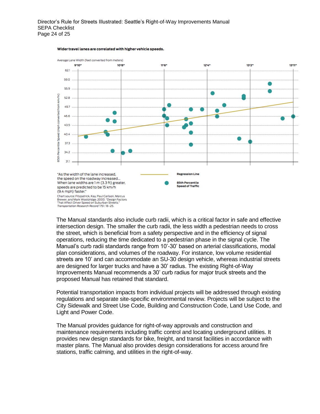

#### Wider travel lanes are correlated with higher vehicle speeds.

The Manual standards also include curb radii, which is a critical factor in safe and effective intersection design. The smaller the curb radii, the less width a pedestrian needs to cross the street, which is beneficial from a safety perspective and in the efficiency of signal operations, reducing the time dedicated to a pedestrian phase in the signal cycle. The Manual's curb radii standards range from 10'-30' based on arterial classifications, modal plan considerations, and volumes of the roadway. For instance, low volume residential streets are 10' and can accommodate an SU-30 design vehicle, whereas industrial streets are designed for larger trucks and have a 30' radius. The existing Right-of-Way Improvements Manual recommends a 30' curb radius for major truck streets and the proposed Manual has retained that standard.

Potential transportation impacts from individual projects will be addressed through existing regulations and separate site-specific environmental review. Projects will be subject to the City Sidewalk and Street Use Code, Building and Construction Code, Land Use Code, and Light and Power Code.

The Manual provides guidance for right-of-way approvals and construction and maintenance requirements including traffic control and locating underground utilities. It provides new design standards for bike, freight, and transit facilities in accordance with master plans. The Manual also provides design considerations for access around fire stations, traffic calming, and utilities in the right-of-way.